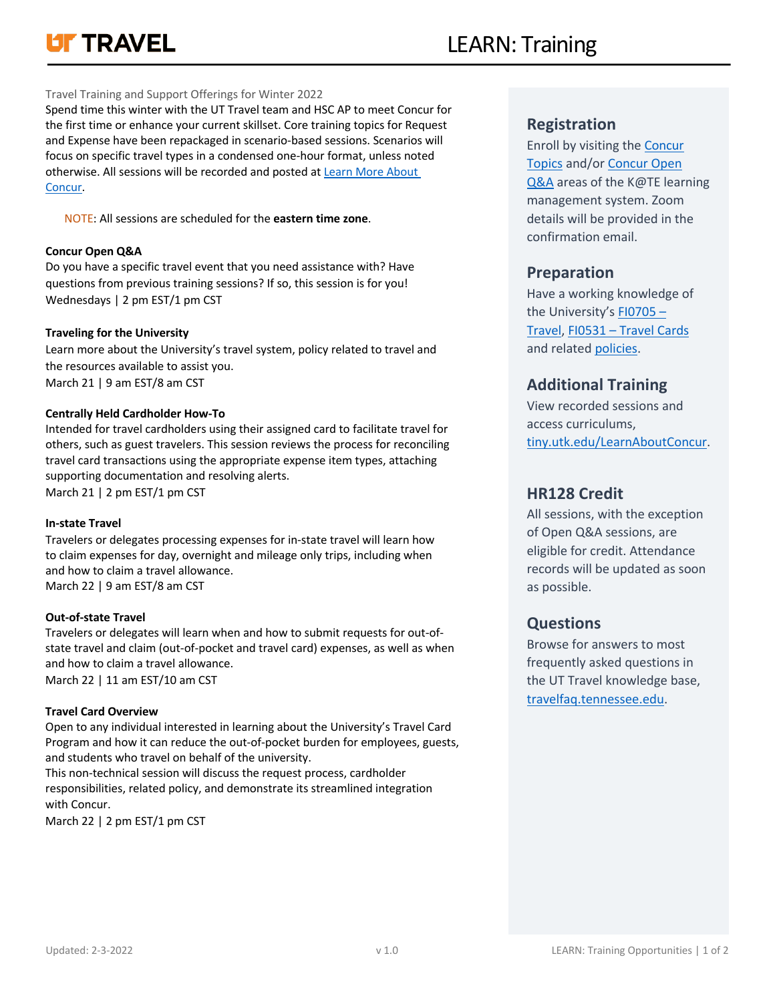# **LIT TRAVEL**

Opportunities

## Travel Training and Support Offerings for Winter 2022

Spend time this winter with the UT Travel team and HSC AP to meet Concur for the first time or enhance your current skillset. Core training topics for Request and Expense have been repackaged in scenario-based sessions. Scenarios will focus on specific travel types in a condensed one-hour format, unless noted otherwise. All sessions will be recorded and posted at Learn More About Concur.

[NOTE: All sessions are](https://tiny.utk.edu/LearnAboutConcur) scheduled for the **eastern time zone**.

## **Concur Open Q&A**

Do you have a specific travel event that you need assistance with? Have questions from previous training sessions? If so, this session is for you! Wednesdays | 2 pm EST/1 pm CST

## **Traveling for the University**

Learn more about the University's travel system, policy related to travel and the resources available to assist you. March 21 | 9 am EST/8 am CST

## **Centrally Held Cardholder How-To**

Intended for travel cardholders using their assigned card to facilitate travel for others, such as guest travelers. This session reviews the process for reconciling travel card transactions using the appropriate expense item types, attaching supporting documentation and resolving alerts. March 21 | 2 pm EST/1 pm CST

## **In-state Travel**

Travelers or delegates processing expenses for in-state travel will learn how to claim expenses for day, overnight and mileage only trips, including when and how to claim a travel allowance. March 22 | 9 am EST/8 am CST

## **Out-of-state Travel**

Travelers or delegates will learn when and how to submit requests for out-ofstate travel and claim (out-of-pocket and travel card) expenses, as well as when and how to claim a travel allowance. March 22 | 11 am EST/10 am CST

## **Travel Card Overview**

Open to any individual interested in learning about the University's Travel Card Program and how it can reduce the out-of-pocket burden for employees, guests, and students who travel on behalf of the university.

This non-technical session will discuss the request process, cardholder responsibilities, related policy, and demonstrate its streamlined integration with Concur.

March 22 | 2 pm EST/1 pm CST

## **Registration**

Enroll by visiting the Concur [Topic](https://tennessee.csod.com/samldefault.aspx?returnurl=%252fDeepLink%252fProcessRedirect.aspx%253fmodule%253dlodetails%2526lo%253dca241b2d-a9d8-4119-a3de-39ba1c32c188)s [and/or](https://tennessee.csod.com/samldefault.aspx?returnurl=%252fDeepLink%252fProcessRedirect.aspx%253fmodule%253dlodetails%2526lo%253dca241b2d-a9d8-4119-a3de-39ba1c32c188) Concur Open Q&A [areas](https://tennessee.csod.com/samldefault.aspx?returnurl=%252fDeepLink%252fProcessRedirect.aspx%253fmodule%253dlodetails%2526lo%253de7be4cbf-c871-488f-a308-1b6a9c06e940) of the K@TE learning management system. Zoom details will be provided in the confirmation email.

## **Preparation**

Have a working knowledge of the University's FI0705 – [Travel, FI0531 –](https://universitytennessee.policytech.com/docview/?docid=779&public=true) Travel Cards [and related policies](https://universitytennessee.policytech.com/docview/?docid=715&public=true)[.](https://policy.tennessee.edu/)

# **[Addit](https://policy.tennessee.edu/)ional Training**

View recorded sessions and access curriculums, tiny.utk.edu/LearnAboutConcur.

## **[HR128 Credit](https://tiny.utk.edu/LearnAboutConcur)**

[All sessions,](https://tiny.utk.edu/LearnAboutConcur) with the exception of Open Q&A sessions, are eligible for credit. Attendance records will be updated as soon as possible.

## **Questions**

Browse for answers to most frequently asked questions in the UT Travel knowledge base, travelfaq.tennessee.edu.